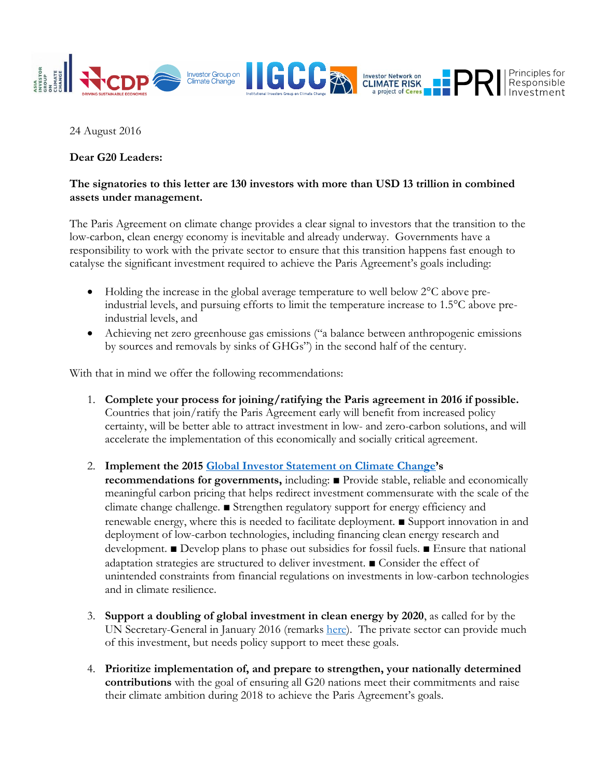

## 24 August 2016

## **Dear G20 Leaders:**

## **The signatories to this letter are 130 investors with more than USD 13 trillion in combined assets under management.**

The Paris Agreement on climate change provides a clear signal to investors that the transition to the low-carbon, clean energy economy is inevitable and already underway. Governments have a responsibility to work with the private sector to ensure that this transition happens fast enough to catalyse the significant investment required to achieve the Paris Agreement's goals including:

- Holding the increase in the global average temperature to well below 2<sup>o</sup>C above preindustrial levels, and pursuing efforts to limit the temperature increase to 1.5°C above preindustrial levels, and
- Achieving net zero greenhouse gas emissions ("a balance between anthropogenic emissions by sources and removals by sinks of GHGs") in the second half of the century.

With that in mind we offer the following recommendations:

1. **Complete your process for joining/ratifying the Paris agreement in 2016 if possible.** Countries that join/ratify the Paris Agreement early will benefit from increased policy certainty, will be better able to attract investment in low- and zero-carbon solutions, and will accelerate the implementation of this economically and socially critical agreement.

2. **Implement the 2015 [Global Investor Statement on Climate Change](http://investorsonclimatechange.org/wp-content/uploads/2015/12/11DecemberGISCC.pdf)'s** 

**recommendations for governments,** including: ■ Provide stable, reliable and economically meaningful carbon pricing that helps redirect investment commensurate with the scale of the climate change challenge. ■ Strengthen regulatory support for energy efficiency and renewable energy, where this is needed to facilitate deployment. ■ Support innovation in and deployment of low-carbon technologies, including financing clean energy research and development. ■ Develop plans to phase out subsidies for fossil fuels. ■ Ensure that national adaptation strategies are structured to deliver investment. ■ Consider the effect of unintended constraints from financial regulations on investments in low-carbon technologies and in climate resilience.

- 3. **Support a doubling of global investment in clean energy by 2020**, as called for by the UN Secretary-General in January 2016 (remarks [here\)](http://www.un.org/sg/statements/index.asp?nid=9421). The private sector can provide much of this investment, but needs policy support to meet these goals.
- 4. **Prioritize implementation of, and prepare to strengthen, your nationally determined contributions** with the goal of ensuring all G20 nations meet their commitments and raise their climate ambition during 2018 to achieve the Paris Agreement's goals.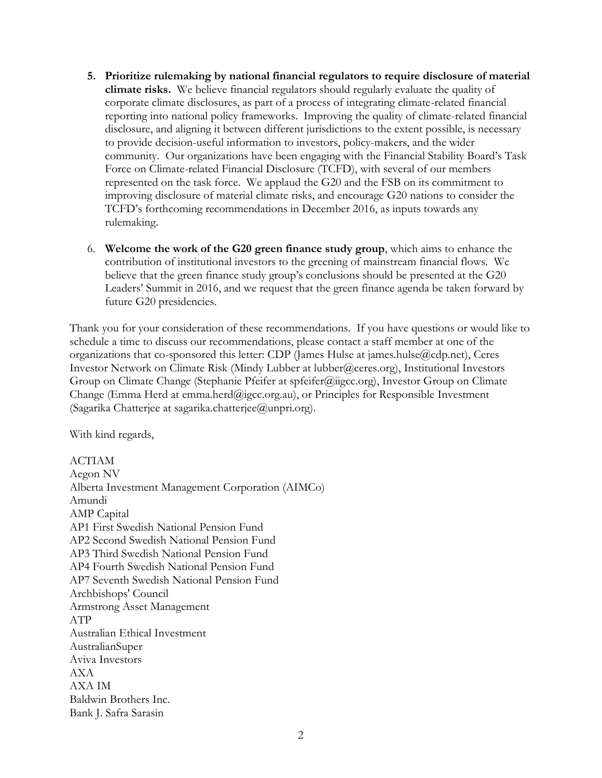- **5. Prioritize rulemaking by national financial regulators to require disclosure of material climate risks.** We believe financial regulators should regularly evaluate the quality of corporate climate disclosures, as part of a process of integrating climate-related financial reporting into national policy frameworks. Improving the quality of climate-related financial disclosure, and aligning it between different jurisdictions to the extent possible, is necessary to provide decision-useful information to investors, policy-makers, and the wider community. Our organizations have been engaging with the Financial Stability Board's Task Force on Climate-related Financial Disclosure (TCFD), with several of our members represented on the task force. We applaud the G20 and the FSB on its commitment to improving disclosure of material climate risks, and encourage G20 nations to consider the TCFD's forthcoming recommendations in December 2016, as inputs towards any rulemaking.
- 6. **Welcome the work of the G20 green finance study group**, which aims to enhance the contribution of institutional investors to the greening of mainstream financial flows. We believe that the green finance study group's conclusions should be presented at the G20 Leaders' Summit in 2016, and we request that the green finance agenda be taken forward by future G20 presidencies.

Thank you for your consideration of these recommendations. If you have questions or would like to schedule a time to discuss our recommendations, please contact a staff member at one of the organizations that co-sponsored this letter: CDP (James Hulse at james.hulse@cdp.net), Ceres Investor Network on Climate Risk (Mindy Lubber at lubber@ceres.org), Institutional Investors Group on Climate Change (Stephanie Pfeifer at spfeifer@iigcc.org), Investor Group on Climate Change (Emma Herd at emma.herd@igcc.org.au), or Principles for Responsible Investment (Sagarika Chatterjee at sagarika.chatterjee@unpri.org).

With kind regards,

ACTIAM Aegon NV Alberta Investment Management Corporation (AIMCo) Amundi AMP Capital AP1 First Swedish National Pension Fund AP2 Second Swedish National Pension Fund AP3 Third Swedish National Pension Fund AP4 Fourth Swedish National Pension Fund AP7 Seventh Swedish National Pension Fund Archbishops' Council Armstrong Asset Management ATP Australian Ethical Investment AustralianSuper Aviva Investors AXA AXA IM Baldwin Brothers Inc. Bank J. Safra Sarasin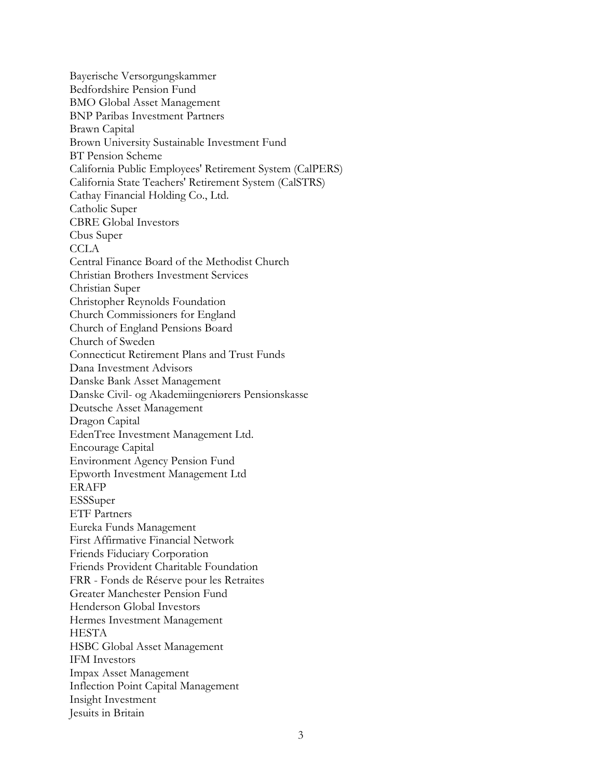Bayerische Versorgungskammer Bedfordshire Pension Fund BMO Global Asset Management BNP Paribas Investment Partners Brawn Capital Brown University Sustainable Investment Fund BT Pension Scheme California Public Employees' Retirement System (CalPERS) California State Teachers' Retirement System (CalSTRS) Cathay Financial Holding Co., Ltd. Catholic Super CBRE Global Investors Cbus Super CCLA Central Finance Board of the Methodist Church Christian Brothers Investment Services Christian Super Christopher Reynolds Foundation Church Commissioners for England Church of England Pensions Board Church of Sweden Connecticut Retirement Plans and Trust Funds Dana Investment Advisors Danske Bank Asset Management Danske Civil- og Akademiingeniørers Pensionskasse Deutsche Asset Management Dragon Capital EdenTree Investment Management Ltd. Encourage Capital Environment Agency Pension Fund Epworth Investment Management Ltd ERAFP ESSSuper ETF Partners Eureka Funds Management First Affirmative Financial Network Friends Fiduciary Corporation Friends Provident Charitable Foundation FRR - Fonds de Réserve pour les Retraites Greater Manchester Pension Fund Henderson Global Investors Hermes Investment Management HESTA HSBC Global Asset Management IFM Investors Impax Asset Management Inflection Point Capital Management Insight Investment Jesuits in Britain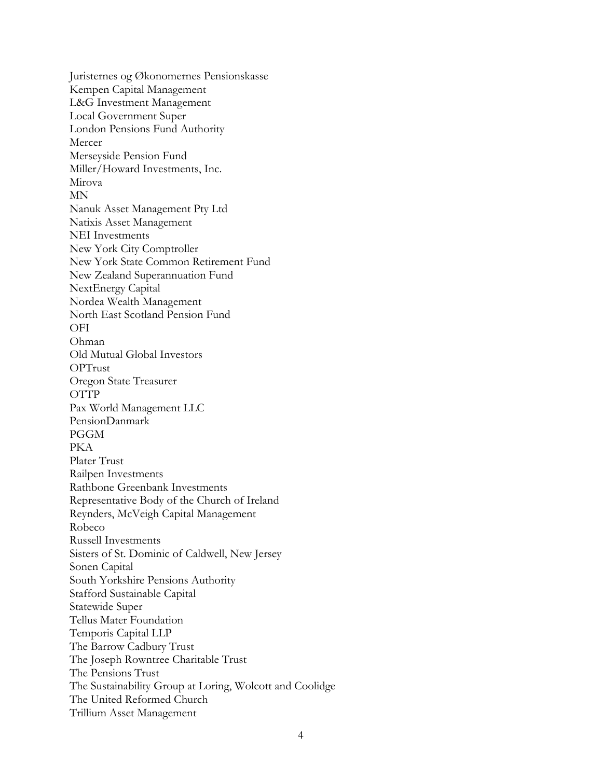Juristernes og Økonomernes Pensionskasse Kempen Capital Management L&G Investment Management Local Government Super London Pensions Fund Authority Mercer Merseyside Pension Fund Miller/Howard Investments, Inc. Mirova MN Nanuk Asset Management Pty Ltd Natixis Asset Management NEI Investments New York City Comptroller New York State Common Retirement Fund New Zealand Superannuation Fund NextEnergy Capital Nordea Wealth Management North East Scotland Pension Fund OFI Ohman Old Mutual Global Investors OPTrust Oregon State Treasurer OTTP Pax World Management LLC PensionDanmark PGGM PKA Plater Trust Railpen Investments Rathbone Greenbank Investments Representative Body of the Church of Ireland Reynders, McVeigh Capital Management Robeco Russell Investments Sisters of St. Dominic of Caldwell, New Jersey Sonen Capital South Yorkshire Pensions Authority Stafford Sustainable Capital Statewide Super Tellus Mater Foundation Temporis Capital LLP The Barrow Cadbury Trust The Joseph Rowntree Charitable Trust The Pensions Trust The Sustainability Group at Loring, Wolcott and Coolidge The United Reformed Church Trillium Asset Management